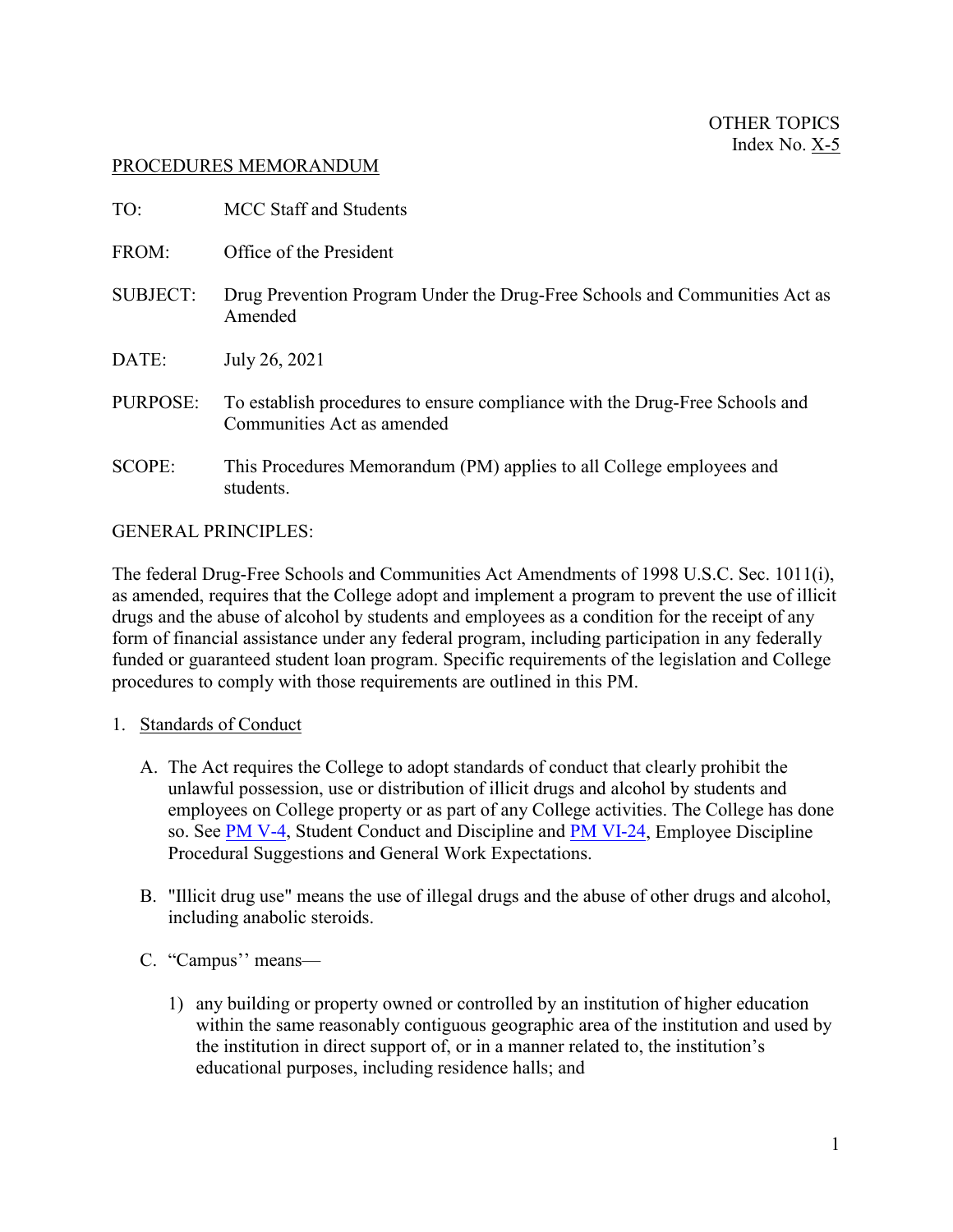### PROCEDURES MEMORANDUM

| TO:             | <b>MCC Staff and Students</b>                                                                             |
|-----------------|-----------------------------------------------------------------------------------------------------------|
| FROM:           | Office of the President                                                                                   |
| <b>SUBJECT:</b> | Drug Prevention Program Under the Drug-Free Schools and Communities Act as<br>Amended                     |
| DATE:           | July 26, 2021                                                                                             |
| PURPOSE:        | To establish procedures to ensure compliance with the Drug-Free Schools and<br>Communities Act as amended |
| <b>SCOPE:</b>   | This Procedures Memorandum (PM) applies to all College employees and<br>students.                         |

### GENERAL PRINCIPLES:

The federal Drug-Free Schools and Communities Act Amendments of 1998 U.S.C. Sec. 1011(i), as amended, requires that the College adopt and implement a program to prevent the use of illicit drugs and the abuse of alcohol by students and employees as a condition for the receipt of any form of financial assistance under any federal program, including participation in any federally funded or guaranteed student loan program. Specific requirements of the legislation and College procedures to comply with those requirements are outlined in this PM.

#### 1. Standards of Conduct

- A. The Act requires the College to adopt standards of conduct that clearly prohibit the unlawful possession, use or distribution of illicit drugs and alcohol by students and employees on College property or as part of any College activities. The College has done so. See [PM V-4,](http://www.mccneb.edu/procedures/V-4_Student_Conduct_and_Discipline.htm) Student Conduct and Discipline and [PM VI-24,](http://www.mccneb.edu/procedures/VI-24%20Discipline%20and%20Work%20Expect.htm) Employee Discipline Procedural Suggestions and General Work Expectations.
- B. "Illicit drug use" means the use of illegal drugs and the abuse of other drugs and alcohol, including anabolic steroids.
- C. "Campus'' means—
	- 1) any building or property owned or controlled by an institution of higher education within the same reasonably contiguous geographic area of the institution and used by the institution in direct support of, or in a manner related to, the institution's educational purposes, including residence halls; and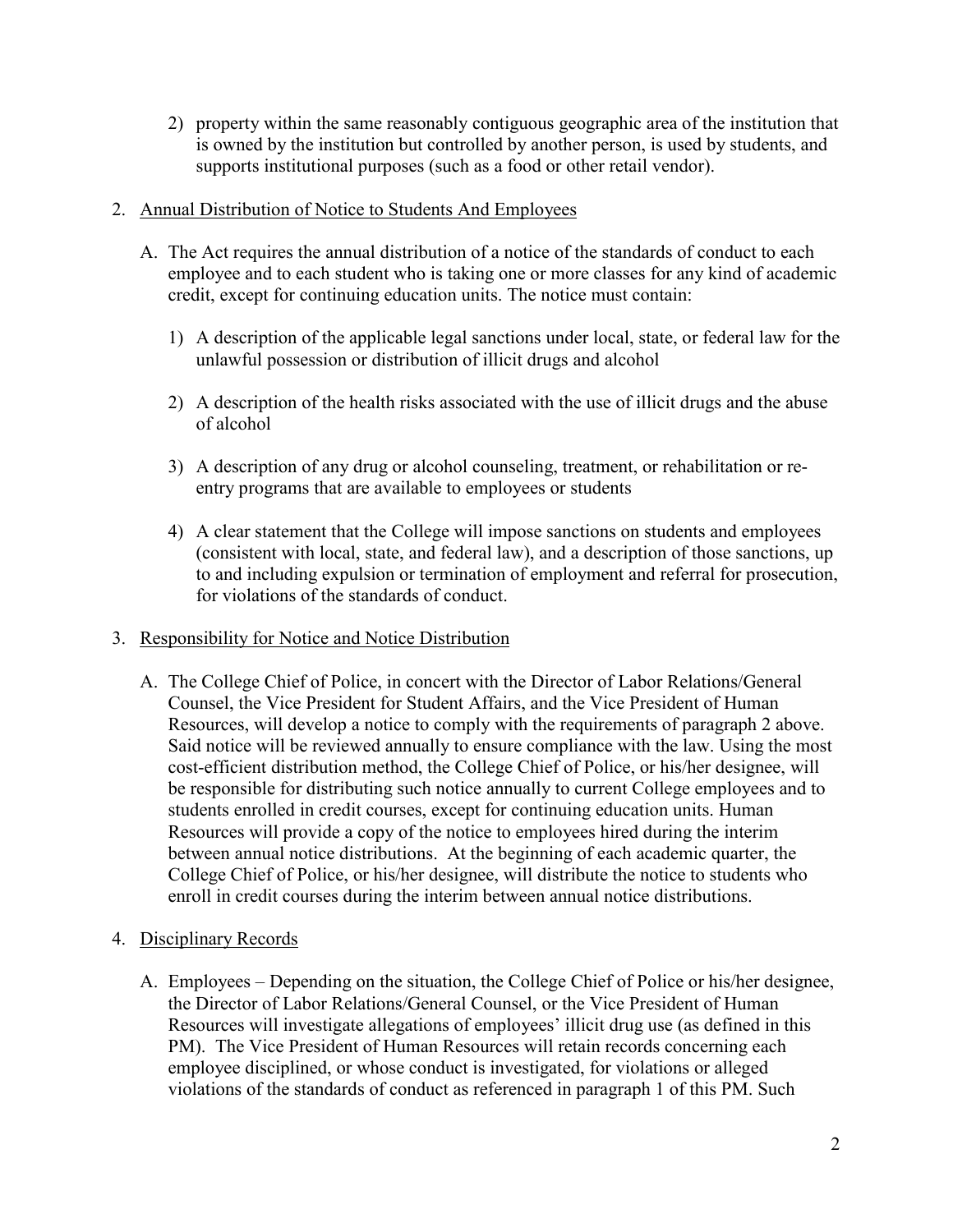2) property within the same reasonably contiguous geographic area of the institution that is owned by the institution but controlled by another person, is used by students, and supports institutional purposes (such as a food or other retail vendor).

### 2. Annual Distribution of Notice to Students And Employees

- A. The Act requires the annual distribution of a notice of the standards of conduct to each employee and to each student who is taking one or more classes for any kind of academic credit, except for continuing education units. The notice must contain:
	- 1) A description of the applicable legal sanctions under local, state, or federal law for the unlawful possession or distribution of illicit drugs and alcohol
	- 2) A description of the health risks associated with the use of illicit drugs and the abuse of alcohol
	- 3) A description of any drug or alcohol counseling, treatment, or rehabilitation or reentry programs that are available to employees or students
	- 4) A clear statement that the College will impose sanctions on students and employees (consistent with local, state, and federal law), and a description of those sanctions, up to and including expulsion or termination of employment and referral for prosecution, for violations of the standards of conduct.

# 3. Responsibility for Notice and Notice Distribution

- A. The College Chief of Police, in concert with the Director of Labor Relations/General Counsel, the Vice President for Student Affairs, and the Vice President of Human Resources, will develop a notice to comply with the requirements of paragraph 2 above. Said notice will be reviewed annually to ensure compliance with the law. Using the most cost-efficient distribution method, the College Chief of Police, or his/her designee, will be responsible for distributing such notice annually to current College employees and to students enrolled in credit courses, except for continuing education units. Human Resources will provide a copy of the notice to employees hired during the interim between annual notice distributions. At the beginning of each academic quarter, the College Chief of Police, or his/her designee, will distribute the notice to students who enroll in credit courses during the interim between annual notice distributions.
- 4. Disciplinary Records
	- A. Employees Depending on the situation, the College Chief of Police or his/her designee, the Director of Labor Relations/General Counsel, or the Vice President of Human Resources will investigate allegations of employees' illicit drug use (as defined in this PM). The Vice President of Human Resources will retain records concerning each employee disciplined, or whose conduct is investigated, for violations or alleged violations of the standards of conduct as referenced in paragraph 1 of this PM. Such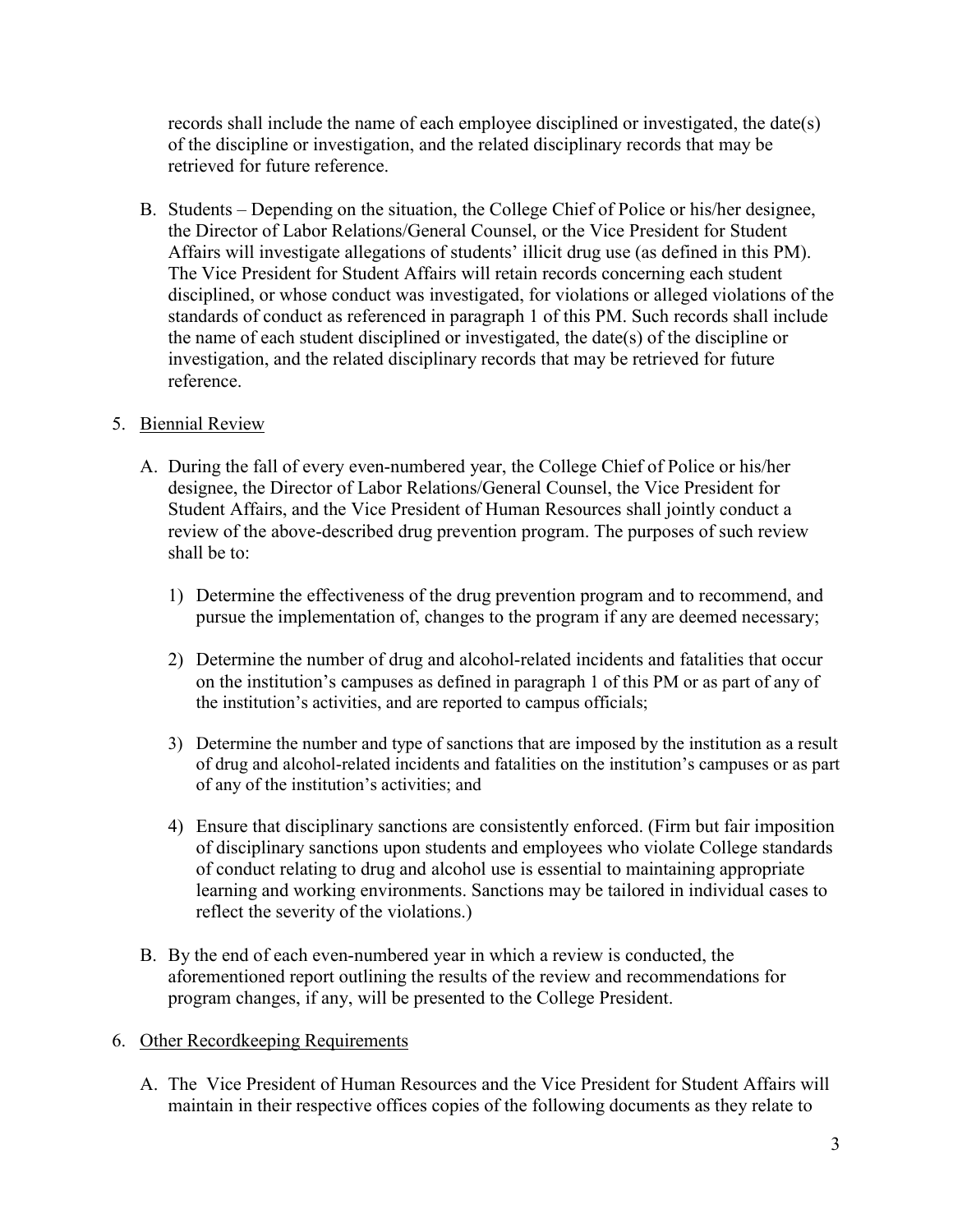records shall include the name of each employee disciplined or investigated, the date(s) of the discipline or investigation, and the related disciplinary records that may be retrieved for future reference.

B. Students – Depending on the situation, the College Chief of Police or his/her designee, the Director of Labor Relations/General Counsel, or the Vice President for Student Affairs will investigate allegations of students' illicit drug use (as defined in this PM). The Vice President for Student Affairs will retain records concerning each student disciplined, or whose conduct was investigated, for violations or alleged violations of the standards of conduct as referenced in paragraph 1 of this PM. Such records shall include the name of each student disciplined or investigated, the date(s) of the discipline or investigation, and the related disciplinary records that may be retrieved for future reference.

# 5. Biennial Review

- A. During the fall of every even-numbered year, the College Chief of Police or his/her designee, the Director of Labor Relations/General Counsel, the Vice President for Student Affairs, and the Vice President of Human Resources shall jointly conduct a review of the above-described drug prevention program. The purposes of such review shall be to:
	- 1) Determine the effectiveness of the drug prevention program and to recommend, and pursue the implementation of, changes to the program if any are deemed necessary;
	- 2) Determine the number of drug and alcohol-related incidents and fatalities that occur on the institution's campuses as defined in paragraph 1 of this PM or as part of any of the institution's activities, and are reported to campus officials;
	- 3) Determine the number and type of sanctions that are imposed by the institution as a result of drug and alcohol-related incidents and fatalities on the institution's campuses or as part of any of the institution's activities; and
	- 4) Ensure that disciplinary sanctions are consistently enforced. (Firm but fair imposition of disciplinary sanctions upon students and employees who violate College standards of conduct relating to drug and alcohol use is essential to maintaining appropriate learning and working environments. Sanctions may be tailored in individual cases to reflect the severity of the violations.)
- B. By the end of each even-numbered year in which a review is conducted, the aforementioned report outlining the results of the review and recommendations for program changes, if any, will be presented to the College President.
- 6. Other Recordkeeping Requirements
	- A. The Vice President of Human Resources and the Vice President for Student Affairs will maintain in their respective offices copies of the following documents as they relate to